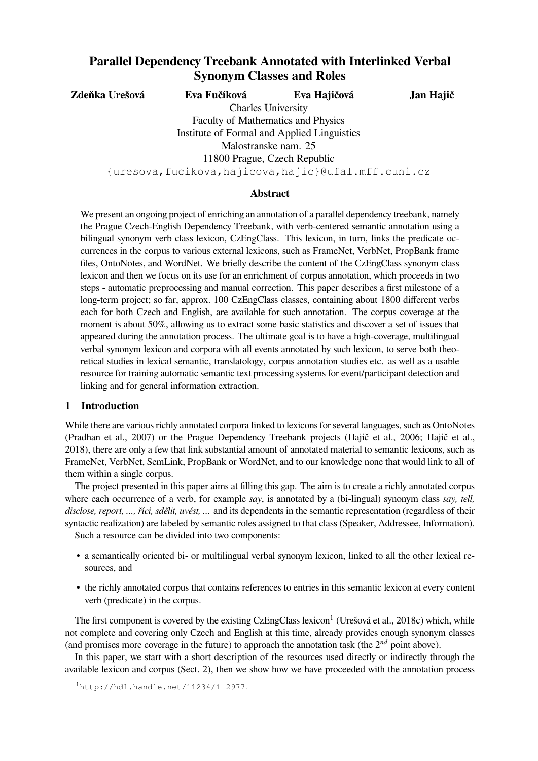# **Parallel Dependency Treebank Annotated with Interlinked Verbal Synonym Classes and Roles**

**Zdeňka Urešová Eva Fučíková Eva Hajičová**

**Jan Hajič**

Charles University Faculty of Mathematics and Physics Institute of Formal and Applied Linguistics Malostranske nam. 25 11800 Prague, Czech Republic

{uresova,fucikova,hajicova,hajic}@ufal.mff.cuni.cz

## **Abstract**

We present an ongoing project of enriching an annotation of a parallel dependency treebank, namely the Prague Czech-English Dependency Treebank, with verb-centered semantic annotation using a bilingual synonym verb class lexicon, CzEngClass. This lexicon, in turn, links the predicate occurrences in the corpus to various external lexicons, such as FrameNet, VerbNet, PropBank frame files, OntoNotes, and WordNet. We briefly describe the content of the CzEngClass synonym class lexicon and then we focus on its use for an enrichment of corpus annotation, which proceeds in two steps - automatic preprocessing and manual correction. This paper describes a first milestone of a long-term project; so far, approx. 100 CzEngClass classes, containing about 1800 different verbs each for both Czech and English, are available for such annotation. The corpus coverage at the moment is about 50%, allowing us to extract some basic statistics and discover a set of issues that appeared during the annotation process. The ultimate goal is to have a high-coverage, multilingual verbal synonym lexicon and corpora with all events annotated by such lexicon, to serve both theoretical studies in lexical semantic, translatology, corpus annotation studies etc. as well as a usable resource for training automatic semantic text processing systems for event/participant detection and linking and for general information extraction.

## **1 Introduction**

While there are various richly annotated corpora linked to lexicons for several languages, such as OntoNotes (Pradhan et al., 2007) or the Prague Dependency Treebank projects (Hajič et al., 2006; Hajič et al., 2018), there are only a few that link substantial amount of annotated material to semantic lexicons, such as FrameNet, VerbNet, SemLink, PropBank or WordNet, and to our knowledge none that would link to all of them within a single corpus.

The project presented in this paper aims at filling this gap. The aim is to create a richly annotated corpus where each occurrence of a verb, for example *say*, is annotated by a (bi-lingual) synonym class *say, tell, disclose, report, ..., říci, sdělit, uvést, ...* and its dependents in the semantic representation (regardless of their syntactic realization) are labeled by semantic roles assigned to that class (Speaker, Addressee, Information).

Such a resource can be divided into two components:

- a semantically oriented bi- or multilingual verbal synonym lexicon, linked to all the other lexical resources, and
- the richly annotated corpus that contains references to entries in this semantic lexicon at every content verb (predicate) in the corpus.

The first component is covered by the existing CzEngClass lexicon<sup>1</sup> (Urešová et al., 2018c) which, while not complete and covering only Czech and English at this time, already provides enough synonym classes (and promises more coverage in the future) to approach the annotation task (the 2*nd* point above).

In this paper, we start with a short description of the resources used directly or indirectly through the available lexicon and corpus (Sect. 2), then we show how we have proceeded with the annotation process

<sup>1</sup>http://hdl.handle.net/11234/1-2977.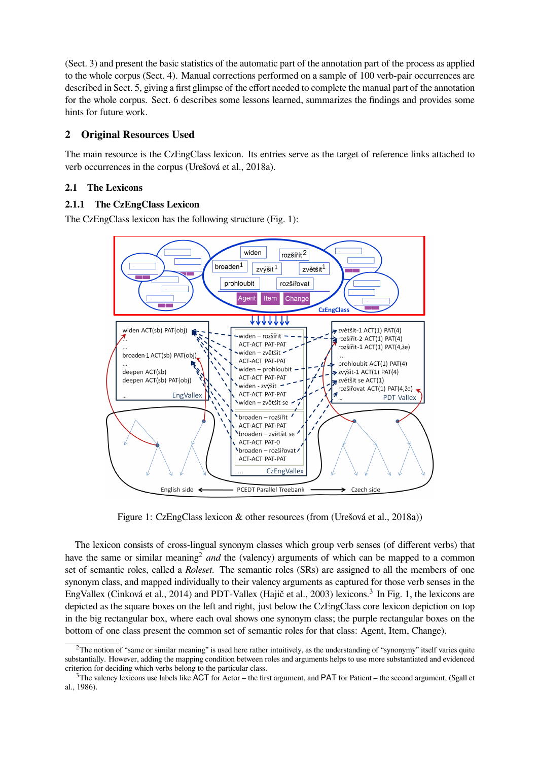(Sect. 3) and present the basic statistics of the automatic part of the annotation part of the process as applied to the whole corpus (Sect. 4). Manual corrections performed on a sample of 100 verb-pair occurrences are described in Sect. 5, giving a first glimpse of the effort needed to complete the manual part of the annotation for the whole corpus. Sect. 6 describes some lessons learned, summarizes the findings and provides some hints for future work.

## **2 Original Resources Used**

The main resource is the CzEngClass lexicon. Its entries serve as the target of reference links attached to verb occurrences in the corpus (Urešová et al., 2018a).

## **2.1 The Lexicons**

## **2.1.1 The CzEngClass Lexicon**

The CzEngClass lexicon has the following structure (Fig. 1):



Figure 1: CzEngClass lexicon & other resources (from (Urešová et al., 2018a))

The lexicon consists of cross-lingual synonym classes which group verb senses (of different verbs) that have the same or similar meaning<sup>2</sup> and the (valency) arguments of which can be mapped to a common set of semantic roles, called a *Roleset*. The semantic roles (SRs) are assigned to all the members of one synonym class, and mapped individually to their valency arguments as captured for those verb senses in the EngVallex (Cinková et al., 2014) and PDT-Vallex (Hajič et al., 2003) lexicons.<sup>3</sup> In Fig. 1, the lexicons are depicted as the square boxes on the left and right, just below the CzEngClass core lexicon depiction on top in the big rectangular box, where each oval shows one synonym class; the purple rectangular boxes on the bottom of one class present the common set of semantic roles for that class: Agent, Item, Change).

 $2$ The notion of "same or similar meaning" is used here rather intuitively, as the understanding of "synonymy" itself varies quite substantially. However, adding the mapping condition between roles and arguments helps to use more substantiated and evidenced criterion for deciding which verbs belong to the particular class.

 $3$ The valency lexicons use labels like ACT for Actor – the first argument, and PAT for Patient – the second argument, (Sgall et al., 1986).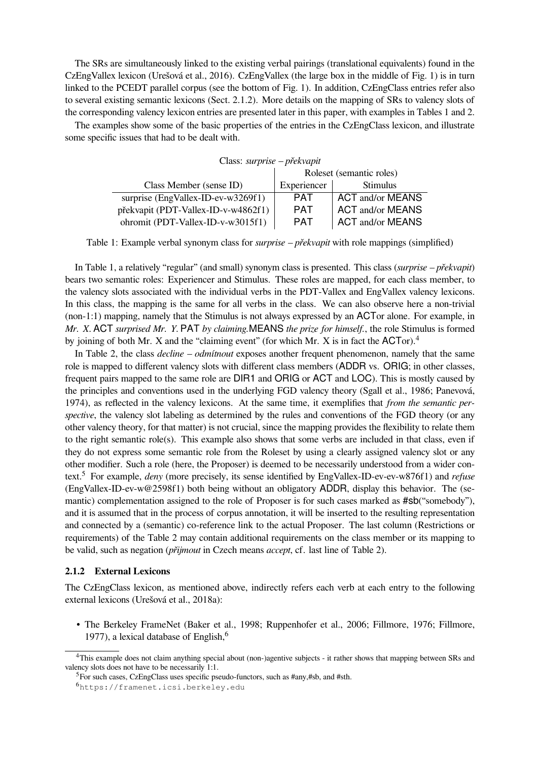The SRs are simultaneously linked to the existing verbal pairings (translational equivalents) found in the CzEngVallex lexicon (Urešová et al., 2016). CzEngVallex (the large box in the middle of Fig. 1) is in turn linked to the PCEDT parallel corpus (see the bottom of Fig. 1). In addition, CzEngClass entries refer also to several existing semantic lexicons (Sect. 2.1.2). More details on the mapping of SRs to valency slots of the corresponding valency lexicon entries are presented later in this paper, with examples in Tables 1 and 2.

The examples show some of the basic properties of the entries in the CzEngClass lexicon, and illustrate some specific issues that had to be dealt with.

| Class: surprise – překvapit         |                          |                         |  |  |  |  |
|-------------------------------------|--------------------------|-------------------------|--|--|--|--|
|                                     | Roleset (semantic roles) |                         |  |  |  |  |
| Class Member (sense ID)             | Experiencer              | <b>Stimulus</b>         |  |  |  |  |
| surprise (EngVallex-ID-ev-w3269f1)  | <b>PAT</b>               | <b>ACT and/or MEANS</b> |  |  |  |  |
| překvapit (PDT-Vallex-ID-v-w4862f1) | <b>PAT</b>               | <b>ACT and/or MEANS</b> |  |  |  |  |
| ohromit (PDT-Vallex-ID-v-w3015f1)   | <b>PAT</b>               | <b>ACT and/or MEANS</b> |  |  |  |  |

Table 1: Example verbal synonym class for *surprise – překvapit* with role mappings (simplified)

In Table 1, a relatively "regular" (and small) synonym class is presented. This class (*surprise – překvapit*) bears two semantic roles: Experiencer and Stimulus. These roles are mapped, for each class member, to the valency slots associated with the individual verbs in the PDT-Vallex and EngVallex valency lexicons. In this class, the mapping is the same for all verbs in the class. We can also observe here a non-trivial (non-1:1) mapping, namely that the Stimulus is not always expressed by an ACTor alone. For example, in *Mr. X.* ACT *surprised Mr. Y.* PAT *by claiming.*MEANS *the prize for himself.*, the role Stimulus is formed by joining of both Mr. X and the "claiming event" (for which Mr. X is in fact the ACTor).<sup>4</sup>

In Table 2, the class *decline – odmítnout* exposes another frequent phenomenon, namely that the same role is mapped to different valency slots with different class members (ADDR vs. ORIG; in other classes, frequent pairs mapped to the same role are DIR1 and ORIG or ACT and LOC). This is mostly caused by the principles and conventions used in the underlying FGD valency theory (Sgall et al., 1986; Panevová, 1974), as reflected in the valency lexicons. At the same time, it exemplifies that *from the semantic perspective*, the valency slot labeling as determined by the rules and conventions of the FGD theory (or any other valency theory, for that matter) is not crucial, since the mapping provides the flexibility to relate them to the right semantic role(s). This example also shows that some verbs are included in that class, even if they do not express some semantic role from the Roleset by using a clearly assigned valency slot or any other modifier. Such a role (here, the Proposer) is deemed to be necessarily understood from a wider context.<sup>5</sup> For example, *deny* (more precisely, its sense identified by EngVallex-ID-ev-ev-w876f1) and *refuse* (EngVallex-ID-ev-w@2598f1) both being without an obligatory ADDR, display this behavior. The (semantic) complementation assigned to the role of Proposer is for such cases marked as  $\#sb$  ("somebody"), and it is assumed that in the process of corpus annotation, it will be inserted to the resulting representation and connected by a (semantic) co-reference link to the actual Proposer. The last column (Restrictions or requirements) of the Table 2 may contain additional requirements on the class member or its mapping to be valid, such as negation (*přijmout* in Czech means *accept*, cf. last line of Table 2).

## **2.1.2 External Lexicons**

The CzEngClass lexicon, as mentioned above, indirectly refers each verb at each entry to the following external lexicons (Urešová et al., 2018a):

• The Berkeley FrameNet (Baker et al., 1998; Ruppenhofer et al., 2006; Fillmore, 1976; Fillmore, 1977), a lexical database of English, $<sup>6</sup>$ </sup>

<sup>&</sup>lt;sup>4</sup>This example does not claim anything special about (non-)agentive subjects - it rather shows that mapping between SRs and valency slots does not have to be necessarily 1:1.

<sup>5</sup>For such cases, CzEngClass uses specific pseudo-functors, such as #any,#sb, and #sth.

<sup>6</sup>https://framenet.icsi.berkeley.edu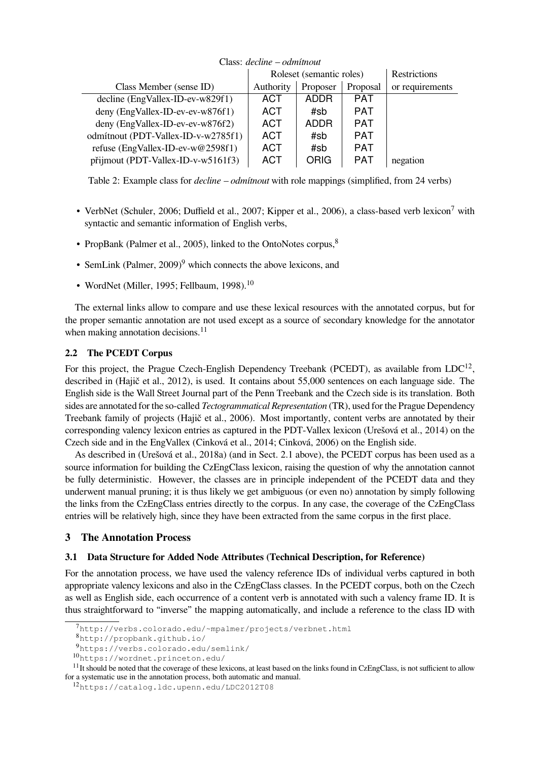| Class: <i>decline – odmitnout</i>   |                          |             |            |                     |  |
|-------------------------------------|--------------------------|-------------|------------|---------------------|--|
|                                     | Roleset (semantic roles) |             |            | <b>Restrictions</b> |  |
| Class Member (sense ID)             | Authority                | Proposer    | Proposal   | or requirements     |  |
| decline (EngVallex-ID-ev-w829f1)    | <b>ACT</b>               | <b>ADDR</b> | <b>PAT</b> |                     |  |
| deny (EngVallex-ID-ev-ev-w876f1)    | ACT                      | #sb         | <b>PAT</b> |                     |  |
| deny (EngVallex-ID-ev-ev-w876f2)    | ACT                      | <b>ADDR</b> | <b>PAT</b> |                     |  |
| odmítnout (PDT-Vallex-ID-v-w2785f1) | <b>ACT</b>               | #sb         | <b>PAT</b> |                     |  |
| refuse (EngVallex-ID-ev-w@2598f1)   | <b>ACT</b>               | #sb         | <b>PAT</b> |                     |  |
| přijmout (PDT-Vallex-ID-v-w5161f3)  | ACT                      | ORIG        | <b>PAT</b> | negation            |  |

#### Class: *decline – odmítnout*

Table 2: Example class for *decline – odmítnout* with role mappings (simplified, from 24 verbs)

- VerbNet (Schuler, 2006; Duffield et al., 2007; Kipper et al., 2006), a class-based verb lexicon<sup>7</sup> with syntactic and semantic information of English verbs,
- PropBank (Palmer et al., 2005), linked to the OntoNotes corpus,<sup>8</sup>
- SemLink (Palmer,  $2009$ )<sup>9</sup> which connects the above lexicons, and
- WordNet (Miller, 1995; Fellbaum, 1998). $10$

The external links allow to compare and use these lexical resources with the annotated corpus, but for the proper semantic annotation are not used except as a source of secondary knowledge for the annotator when making annotation decisions. $11$ 

## **2.2 The PCEDT Corpus**

For this project, the Prague Czech-English Dependency Treebank (PCEDT), as available from  $LDC^{12}$ , described in (Hajič et al., 2012), is used. It contains about 55,000 sentences on each language side. The English side is the Wall Street Journal part of the Penn Treebank and the Czech side is its translation. Both sides are annotated for the so-called *Tectogrammatical Representation* (TR), used for the Prague Dependency Treebank family of projects (Hajič et al., 2006). Most importantly, content verbs are annotated by their corresponding valency lexicon entries as captured in the PDT-Vallex lexicon (Urešová et al., 2014) on the Czech side and in the EngVallex (Cinková et al., 2014; Cinková, 2006) on the English side.

As described in (Urešová et al., 2018a) (and in Sect. 2.1 above), the PCEDT corpus has been used as a source information for building the CzEngClass lexicon, raising the question of why the annotation cannot be fully deterministic. However, the classes are in principle independent of the PCEDT data and they underwent manual pruning; it is thus likely we get ambiguous (or even no) annotation by simply following the links from the CzEngClass entries directly to the corpus. In any case, the coverage of the CzEngClass entries will be relatively high, since they have been extracted from the same corpus in the first place.

## **3 The Annotation Process**

## **3.1 Data Structure for Added Node Attributes (Technical Description, for Reference)**

For the annotation process, we have used the valency reference IDs of individual verbs captured in both appropriate valency lexicons and also in the CzEngClass classes. In the PCEDT corpus, both on the Czech as well as English side, each occurrence of a content verb is annotated with such a valency frame ID. It is thus straightforward to "inverse" the mapping automatically, and include a reference to the class ID with

<sup>7</sup>http://verbs.colorado.edu/~mpalmer/projects/verbnet.html

<sup>8</sup>http://propbank.github.io/

<sup>9</sup>https://verbs.colorado.edu/semlink/

<sup>10</sup>https://wordnet.princeton.edu/

 $11$ It should be noted that the coverage of these lexicons, at least based on the links found in CzEngClass, is not sufficient to allow for a systematic use in the annotation process, both automatic and manual.

<sup>12</sup>https://catalog.ldc.upenn.edu/LDC2012T08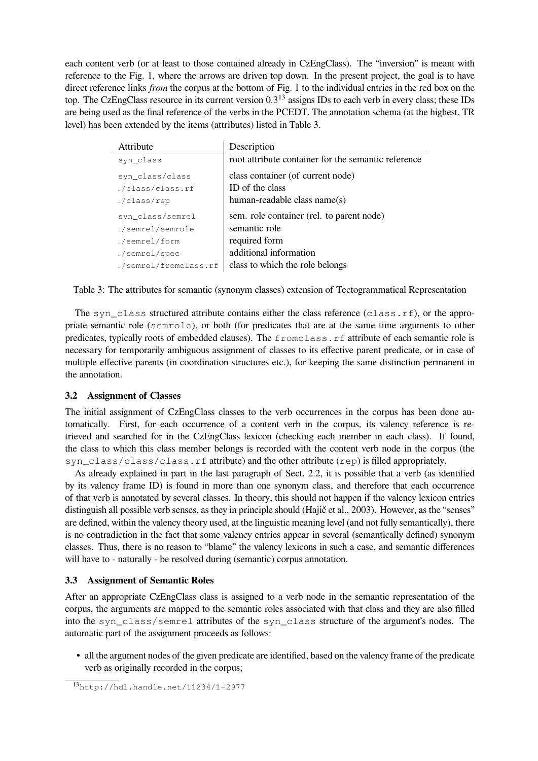each content verb (or at least to those contained already in CzEngClass). The "inversion" is meant with reference to the Fig. 1, where the arrows are driven top down. In the present project, the goal is to have direct reference links *from* the corpus at the bottom of Fig. 1 to the individual entries in the red box on the top. The CzEngClass resource in its current version 0.3<sup>13</sup> assigns IDs to each verb in every class; these IDs are being used as the final reference of the verbs in the PCEDT. The annotation schema (at the highest, TR level) has been extended by the items (attributes) listed in Table 3.

| Attribute            | Description                                         |
|----------------------|-----------------------------------------------------|
| syn_class            | root attribute container for the semantic reference |
| syn_class/class      | class container (of current node)                   |
| /class/class.rf      | ID of the class                                     |
| /class/rep           | human-readable class name(s)                        |
| syn_class/semrel     | sem. role container (rel. to parent node)           |
| semrel/semrole       | semantic role                                       |
| semrel/form_         | required form                                       |
| semrel/spec_         | additional information                              |
| /semrel/fromclass.rf | class to which the role belongs                     |

Table 3: The attributes for semantic (synonym classes) extension of Tectogrammatical Representation

The syn class structured attribute contains either the class reference (class.rf), or the appropriate semantic role (semrole), or both (for predicates that are at the same time arguments to other predicates, typically roots of embedded clauses). The fromclass.rf attribute of each semantic role is necessary for temporarily ambiguous assignment of classes to its effective parent predicate, or in case of multiple effective parents (in coordination structures etc.), for keeping the same distinction permanent in the annotation.

## **3.2 Assignment of Classes**

The initial assignment of CzEngClass classes to the verb occurrences in the corpus has been done automatically. First, for each occurrence of a content verb in the corpus, its valency reference is retrieved and searched for in the CzEngClass lexicon (checking each member in each class). If found, the class to which this class member belongs is recorded with the content verb node in the corpus (the syn class/class/class.rf attribute) and the other attribute (rep) is filled appropriately.

As already explained in part in the last paragraph of Sect. 2.2, it is possible that a verb (as identified by its valency frame ID) is found in more than one synonym class, and therefore that each occurrence of that verb is annotated by several classes. In theory, this should not happen if the valency lexicon entries distinguish all possible verb senses, as they in principle should (Hajič et al., 2003). However, as the "senses" are defined, within the valency theory used, at the linguistic meaning level (and not fully semantically), there is no contradiction in the fact that some valency entries appear in several (semantically defined) synonym classes. Thus, there is no reason to "blame" the valency lexicons in such a case, and semantic differences will have to - naturally - be resolved during (semantic) corpus annotation.

## **3.3 Assignment of Semantic Roles**

After an appropriate CzEngClass class is assigned to a verb node in the semantic representation of the corpus, the arguments are mapped to the semantic roles associated with that class and they are also filled into the syn\_class/semrel attributes of the syn\_class structure of the argument's nodes. The automatic part of the assignment proceeds as follows:

• all the argument nodes of the given predicate are identified, based on the valency frame of the predicate verb as originally recorded in the corpus;

<sup>13</sup>http://hdl.handle.net/11234/1-2977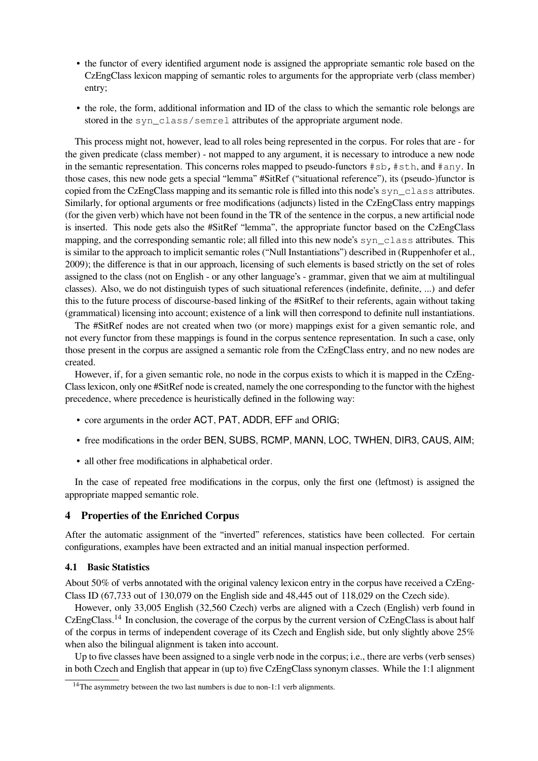- the functor of every identified argument node is assigned the appropriate semantic role based on the CzEngClass lexicon mapping of semantic roles to arguments for the appropriate verb (class member) entry;
- the role, the form, additional information and ID of the class to which the semantic role belongs are stored in the syn\_class/semrel attributes of the appropriate argument node.

This process might not, however, lead to all roles being represented in the corpus. For roles that are - for the given predicate (class member) - not mapped to any argument, it is necessary to introduce a new node in the semantic representation. This concerns roles mapped to pseudo-functors  $\#$ sb,  $\#$ sth, and  $\#$ any. In those cases, this new node gets a special "lemma" #SitRef ("situational reference"), its (pseudo-)functor is copied from the CzEngClass mapping and its semantic role is filled into this node's syn\_class attributes. Similarly, for optional arguments or free modifications (adjuncts) listed in the CzEngClass entry mappings (for the given verb) which have not been found in the TR of the sentence in the corpus, a new artificial node is inserted. This node gets also the #SitRef "lemma", the appropriate functor based on the CzEngClass mapping, and the corresponding semantic role; all filled into this new node's syn\_class attributes. This is similar to the approach to implicit semantic roles ("Null Instantiations") described in (Ruppenhofer et al., 2009); the difference is that in our approach, licensing of such elements is based strictly on the set of roles assigned to the class (not on English - or any other language's - grammar, given that we aim at multilingual classes). Also, we do not distinguish types of such situational references (indefinite, definite, ...) and defer this to the future process of discourse-based linking of the #SitRef to their referents, again without taking (grammatical) licensing into account; existence of a link will then correspond to definite null instantiations.

The #SitRef nodes are not created when two (or more) mappings exist for a given semantic role, and not every functor from these mappings is found in the corpus sentence representation. In such a case, only those present in the corpus are assigned a semantic role from the CzEngClass entry, and no new nodes are created.

However, if, for a given semantic role, no node in the corpus exists to which it is mapped in the CzEng-Class lexicon, only one #SitRef node is created, namely the one corresponding to the functor with the highest precedence, where precedence is heuristically defined in the following way:

- core arguments in the order ACT, PAT, ADDR, EFF and ORIG;
- free modifications in the order BEN, SUBS, RCMP, MANN, LOC, TWHEN, DIR3, CAUS, AIM;
- all other free modifications in alphabetical order.

In the case of repeated free modifications in the corpus, only the first one (leftmost) is assigned the appropriate mapped semantic role.

## **4 Properties of the Enriched Corpus**

After the automatic assignment of the "inverted" references, statistics have been collected. For certain configurations, examples have been extracted and an initial manual inspection performed.

#### **4.1 Basic Statistics**

About 50% of verbs annotated with the original valency lexicon entry in the corpus have received a CzEng-Class ID (67,733 out of 130,079 on the English side and 48,445 out of 118,029 on the Czech side).

However, only 33,005 English (32,560 Czech) verbs are aligned with a Czech (English) verb found in CzEngClass.<sup>14</sup> In conclusion, the coverage of the corpus by the current version of CzEngClass is about half of the corpus in terms of independent coverage of its Czech and English side, but only slightly above 25% when also the bilingual alignment is taken into account.

Up to five classes have been assigned to a single verb node in the corpus; i.e., there are verbs (verb senses) in both Czech and English that appear in (up to) five CzEngClass synonym classes. While the 1:1 alignment

<sup>&</sup>lt;sup>14</sup>The asymmetry between the two last numbers is due to non-1:1 verb alignments.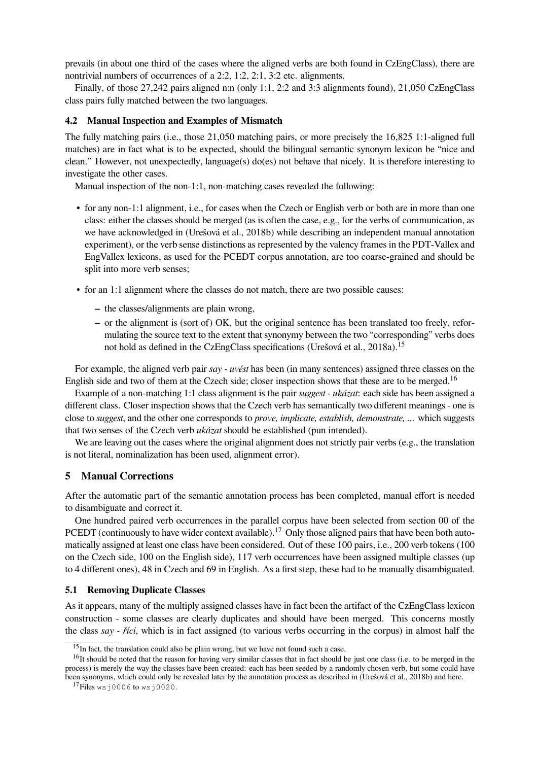prevails (in about one third of the cases where the aligned verbs are both found in CzEngClass), there are nontrivial numbers of occurrences of a 2:2, 1:2, 2:1, 3:2 etc. alignments.

Finally, of those 27,242 pairs aligned n:n (only 1:1, 2:2 and 3:3 alignments found), 21,050 CzEngClass class pairs fully matched between the two languages.

#### **4.2 Manual Inspection and Examples of Mismatch**

The fully matching pairs (i.e., those 21,050 matching pairs, or more precisely the 16,825 1:1-aligned full matches) are in fact what is to be expected, should the bilingual semantic synonym lexicon be "nice and clean." However, not unexpectedly, language(s) do(es) not behave that nicely. It is therefore interesting to investigate the other cases.

Manual inspection of the non-1:1, non-matching cases revealed the following:

- for any non-1:1 alignment, i.e., for cases when the Czech or English verb or both are in more than one class: either the classes should be merged (as is often the case, e.g., for the verbs of communication, as we have acknowledged in (Urešová et al., 2018b) while describing an independent manual annotation experiment), or the verb sense distinctions as represented by the valency frames in the PDT-Vallex and EngVallex lexicons, as used for the PCEDT corpus annotation, are too coarse-grained and should be split into more verb senses;
- for an 1:1 alignment where the classes do not match, there are two possible causes:
	- **–** the classes/alignments are plain wrong,
	- **–** or the alignment is (sort of) OK, but the original sentence has been translated too freely, reformulating the source text to the extent that synonymy between the two "corresponding" verbs does not hold as defined in the CzEngClass specifications (Urešová et al., 2018a).<sup>15</sup>

For example, the aligned verb pair *say - uvést* has been (in many sentences) assigned three classes on the English side and two of them at the Czech side; closer inspection shows that these are to be merged.<sup>16</sup>

Example of a non-matching 1:1 class alignment is the pair *suggest - ukázat*: each side has been assigned a different class. Closer inspection shows that the Czech verb has semantically two different meanings - one is close to *suggest*, and the other one corresponds to *prove, implicate, establish, demonstrate, ...* which suggests that two senses of the Czech verb *ukázat* should be established (pun intended).

We are leaving out the cases where the original alignment does not strictly pair verbs (e.g., the translation is not literal, nominalization has been used, alignment error).

#### **5 Manual Corrections**

After the automatic part of the semantic annotation process has been completed, manual effort is needed to disambiguate and correct it.

One hundred paired verb occurrences in the parallel corpus have been selected from section 00 of the PCEDT (continuously to have wider context available).<sup>17</sup> Only those aligned pairs that have been both automatically assigned at least one class have been considered. Out of these 100 pairs, i.e., 200 verb tokens (100 on the Czech side, 100 on the English side), 117 verb occurrences have been assigned multiple classes (up to 4 different ones), 48 in Czech and 69 in English. As a first step, these had to be manually disambiguated.

#### **5.1 Removing Duplicate Classes**

As it appears, many of the multiply assigned classes have in fact been the artifact of the CzEngClass lexicon construction - some classes are clearly duplicates and should have been merged. This concerns mostly the class *say - říci*, which is in fact assigned (to various verbs occurring in the corpus) in almost half the

<sup>&</sup>lt;sup>15</sup>In fact, the translation could also be plain wrong, but we have not found such a case.

<sup>&</sup>lt;sup>16</sup>It should be noted that the reason for having very similar classes that in fact should be just one class (i.e. to be merged in the process) is merely the way the classes have been created: each has been seeded by a randomly chosen verb, but some could have been synonyms, which could only be revealed later by the annotation process as described in (Urešová et al., 2018b) and here.

 $17$ Files wsj0006 to wsj0020.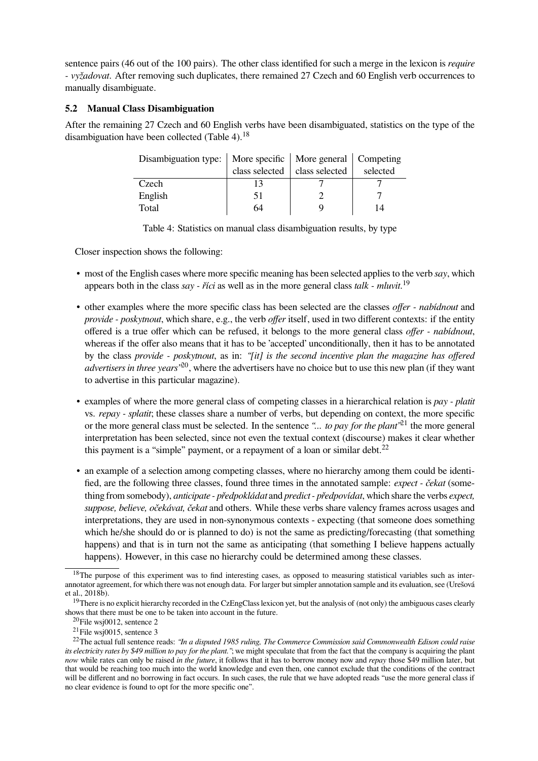sentence pairs (46 out of the 100 pairs). The other class identified for such a merge in the lexicon is *require - vyžadovat*. After removing such duplicates, there remained 27 Czech and 60 English verb occurrences to manually disambiguate.

## **5.2 Manual Class Disambiguation**

After the remaining 27 Czech and 60 English verbs have been disambiguated, statistics on the type of the disambiguation have been collected (Table 4).<sup>18</sup>

| Disambiguation type:   More specific   More general   Competing |                |                |          |
|-----------------------------------------------------------------|----------------|----------------|----------|
|                                                                 | class selected | class selected | selected |
| Czech                                                           |                |                |          |
| English                                                         | 51             |                |          |
| Total                                                           | 64             |                |          |

Table 4: Statistics on manual class disambiguation results, by type

Closer inspection shows the following:

- most of the English cases where more specific meaning has been selected applies to the verb *say*, which appears both in the class *say - říci* as well as in the more general class *talk - mluvit*. 19
- other examples where the more specific class has been selected are the classes *offer nabídnout* and *provide - poskytnout*, which share, e.g., the verb *offer* itself, used in two different contexts: if the entity offered is a true offer which can be refused, it belongs to the more general class *offer - nabídnout*, whereas if the offer also means that it has to be 'accepted' unconditionally, then it has to be annotated by the class *provide - poskytnout*, as in: *"[it] is the second incentive plan the magazine has offered advertisers in three years"*20, where the advertisers have no choice but to use this new plan (if they want to advertise in this particular magazine).
- examples of where the more general class of competing classes in a hierarchical relation is *pay platit* vs. *repay - splatit*; these classes share a number of verbs, but depending on context, the more specific or the more general class must be selected. In the sentence *"... to pay for the plant"*<sup>21</sup> the more general interpretation has been selected, since not even the textual context (discourse) makes it clear whether this payment is a "simple" payment, or a repayment of a loan or similar debt.<sup>22</sup>
- an example of a selection among competing classes, where no hierarchy among them could be identified, are the following three classes, found three times in the annotated sample: *expect - čekat* (something from somebody), *anticipate - předpokládat* and *predict - předpovídat*, which share the verbs *expect, suppose, believe, očekávat, čekat* and others. While these verbs share valency frames across usages and interpretations, they are used in non-synonymous contexts - expecting (that someone does something which he/she should do or is planned to do) is not the same as predicting/forecasting (that something happens) and that is in turn not the same as anticipating (that something I believe happens actually happens). However, in this case no hierarchy could be determined among these classes.

<sup>&</sup>lt;sup>18</sup>The purpose of this experiment was to find interesting cases, as opposed to measuring statistical variables such as interannotator agreement, for which there was not enough data. For larger but simpler annotation sample and its evaluation, see (Urešová et al., 2018b).

<sup>&</sup>lt;sup>19</sup>There is no explicit hierarchy recorded in the CzEngClass lexicon yet, but the analysis of (not only) the ambiguous cases clearly shows that there must be one to be taken into account in the future.

<sup>20</sup>File wsj0012, sentence 2

<sup>&</sup>lt;sup>21</sup>File wsj0015, sentence 3

<sup>22</sup>The actual full sentence reads: *"In a disputed 1985 ruling, The Commerce Commission said Commonwealth Edison could raise its electricity rates by \$49 million to pay for the plant."*; we might speculate that from the fact that the company is acquiring the plant *now* while rates can only be raised *in the future*, it follows that it has to borrow money now and *repay* those \$49 million later, but that would be reaching too much into the world knowledge and even then, one cannot exclude that the conditions of the contract will be different and no borrowing in fact occurs. In such cases, the rule that we have adopted reads "use the more general class if no clear evidence is found to opt for the more specific one".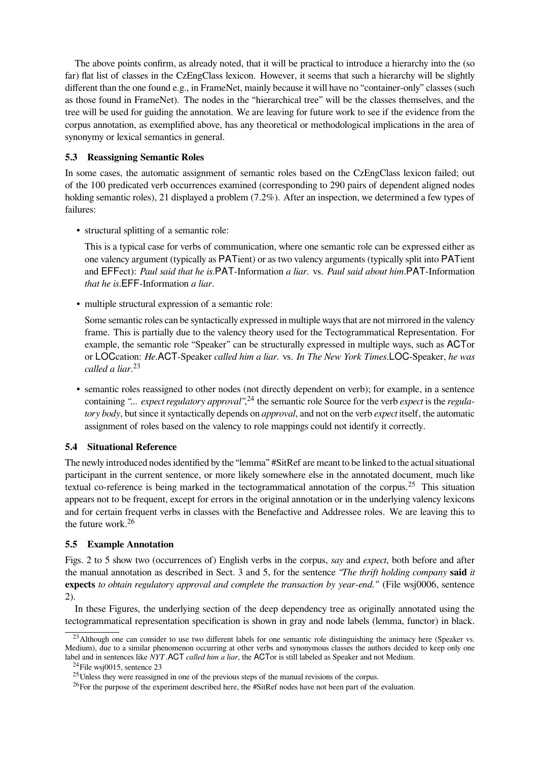The above points confirm, as already noted, that it will be practical to introduce a hierarchy into the (so far) flat list of classes in the CzEngClass lexicon. However, it seems that such a hierarchy will be slightly different than the one found e.g., in FrameNet, mainly because it will have no "container-only" classes (such as those found in FrameNet). The nodes in the "hierarchical tree" will be the classes themselves, and the tree will be used for guiding the annotation. We are leaving for future work to see if the evidence from the corpus annotation, as exemplified above, has any theoretical or methodological implications in the area of synonymy or lexical semantics in general.

## **5.3 Reassigning Semantic Roles**

In some cases, the automatic assignment of semantic roles based on the CzEngClass lexicon failed; out of the 100 predicated verb occurrences examined (corresponding to 290 pairs of dependent aligned nodes holding semantic roles), 21 displayed a problem (7.2%). After an inspection, we determined a few types of failures:

• structural splitting of a semantic role:

This is a typical case for verbs of communication, where one semantic role can be expressed either as one valency argument (typically as PATient) or as two valency arguments (typically split into PATient and EFFect): *Paul said that he is*.PAT-Information *a liar.* vs. *Paul said about him*.PAT-Information *that he is*.EFF-Information *a liar*.

• multiple structural expression of a semantic role:

Some semantic roles can be syntactically expressed in multiple ways that are not mirrored in the valency frame. This is partially due to the valency theory used for the Tectogrammatical Representation. For example, the semantic role "Speaker" can be structurally expressed in multiple ways, such as ACTor or LOCcation: *He*.ACT-Speaker *called him a liar.* vs. *In The New York Times*.LOC-Speaker, *he was called a liar*. 23

• semantic roles reassigned to other nodes (not directly dependent on verb); for example, in a sentence containing *"... expect regulatory approval"*, <sup>24</sup> the semantic role Source for the verb *expect* is the *regulatory body*, but since it syntactically depends on *approval*, and not on the verb *expect* itself, the automatic assignment of roles based on the valency to role mappings could not identify it correctly.

## **5.4 Situational Reference**

The newly introduced nodes identified by the "lemma" #SitRef are meant to be linked to the actual situational participant in the current sentence, or more likely somewhere else in the annotated document, much like textual co-reference is being marked in the tectogrammatical annotation of the corpus.<sup>25</sup> This situation appears not to be frequent, except for errors in the original annotation or in the underlying valency lexicons and for certain frequent verbs in classes with the Benefactive and Addressee roles. We are leaving this to the future work.<sup>26</sup>

#### **5.5 Example Annotation**

Figs. 2 to 5 show two (occurrences of) English verbs in the corpus, *say* and *expect*, both before and after the manual annotation as described in Sect. 3 and 5, for the sentence *"The thrift holding company* **said** *it* **expects** *to obtain regulatory approval and complete the transaction by year-end."* (File wsj0006, sentence 2).

In these Figures, the underlying section of the deep dependency tree as originally annotated using the tectogrammatical representation specification is shown in gray and node labels (lemma, functor) in black.

<sup>&</sup>lt;sup>23</sup>Although one can consider to use two different labels for one semantic role distinguishing the animacy here (Speaker vs. Medium), due to a similar phenomenon occurring at other verbs and synonymous classes the authors decided to keep only one label and in sentences like *NYT* .ACT *called him a liar*, the ACTor is still labeled as Speaker and not Medium.

 $^{24}$ File wsj0015, sentence 23

<sup>&</sup>lt;sup>25</sup>Unless they were reassigned in one of the previous steps of the manual revisions of the corpus.

<sup>&</sup>lt;sup>26</sup>For the purpose of the experiment described here, the #SitRef nodes have not been part of the evaluation.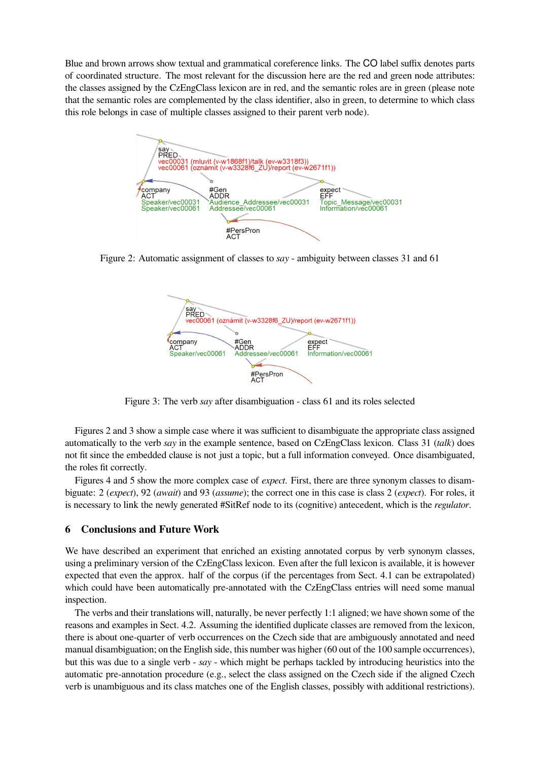Blue and brown arrows show textual and grammatical coreference links. The CO label suffix denotes parts of coordinated structure. The most relevant for the discussion here are the red and green node attributes: the classes assigned by the CzEngClass lexicon are in red, and the semantic roles are in green (please note that the semantic roles are complemented by the class identifier, also in green, to determine to which class this role belongs in case of multiple classes assigned to their parent verb node).



Figure 2: Automatic assignment of classes to *say* - ambiguity between classes 31 and 61



Figure 3: The verb *say* after disambiguation - class 61 and its roles selected

Figures 2 and 3 show a simple case where it was sufficient to disambiguate the appropriate class assigned automatically to the verb *say* in the example sentence, based on CzEngClass lexicon. Class 31 (*talk*) does not fit since the embedded clause is not just a topic, but a full information conveyed. Once disambiguated, the roles fit correctly.

Figures 4 and 5 show the more complex case of *expect*. First, there are three synonym classes to disambiguate: 2 (*expect*), 92 (*await*) and 93 (*assume*); the correct one in this case is class 2 (*expect*). For roles, it is necessary to link the newly generated #SitRef node to its (cognitive) antecedent, which is the *regulator*.

## **6 Conclusions and Future Work**

We have described an experiment that enriched an existing annotated corpus by verb synonym classes, using a preliminary version of the CzEngClass lexicon. Even after the full lexicon is available, it is however expected that even the approx. half of the corpus (if the percentages from Sect. 4.1 can be extrapolated) which could have been automatically pre-annotated with the CzEngClass entries will need some manual inspection.

The verbs and their translations will, naturally, be never perfectly 1:1 aligned; we have shown some of the reasons and examples in Sect. 4.2. Assuming the identified duplicate classes are removed from the lexicon, there is about one-quarter of verb occurrences on the Czech side that are ambiguously annotated and need manual disambiguation; on the English side, this number was higher (60 out of the 100 sample occurrences), but this was due to a single verb - *say* - which might be perhaps tackled by introducing heuristics into the automatic pre-annotation procedure (e.g., select the class assigned on the Czech side if the aligned Czech verb is unambiguous and its class matches one of the English classes, possibly with additional restrictions).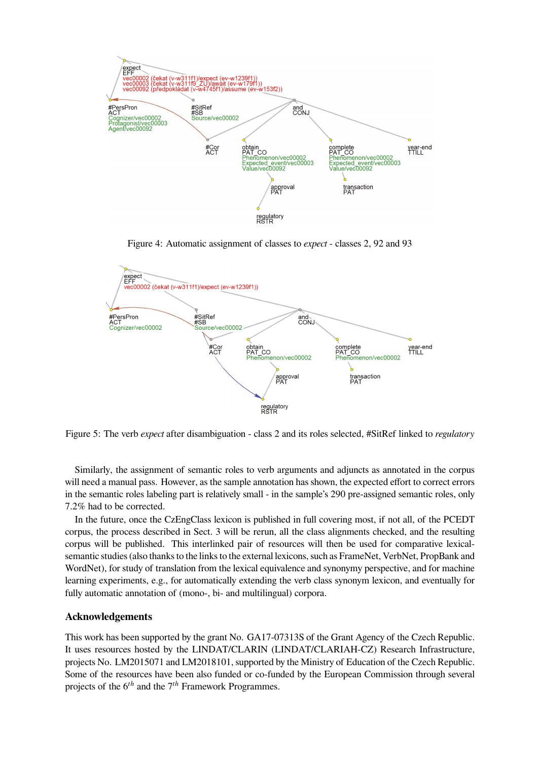

Figure 4: Automatic assignment of classes to *expect* - classes 2, 92 and 93



Figure 5: The verb *expect* after disambiguation - class 2 and its roles selected, #SitRef linked to *regulatory*

Similarly, the assignment of semantic roles to verb arguments and adjuncts as annotated in the corpus will need a manual pass. However, as the sample annotation has shown, the expected effort to correct errors in the semantic roles labeling part is relatively small - in the sample's 290 pre-assigned semantic roles, only 7.2% had to be corrected.

In the future, once the CzEngClass lexicon is published in full covering most, if not all, of the PCEDT corpus, the process described in Sect. 3 will be rerun, all the class alignments checked, and the resulting corpus will be published. This interlinked pair of resources will then be used for comparative lexicalsemantic studies (also thanks to the links to the external lexicons, such as FrameNet, VerbNet, PropBank and WordNet), for study of translation from the lexical equivalence and synonymy perspective, and for machine learning experiments, e.g., for automatically extending the verb class synonym lexicon, and eventually for fully automatic annotation of (mono-, bi- and multilingual) corpora.

## **Acknowledgements**

This work has been supported by the grant No. GA17-07313S of the Grant Agency of the Czech Republic. It uses resources hosted by the LINDAT/CLARIN (LINDAT/CLARIAH-CZ) Research Infrastructure, projects No. LM2015071 and LM2018101, supported by the Ministry of Education of the Czech Republic. Some of the resources have been also funded or co-funded by the European Commission through several projects of the 6*th* and the 7*th* Framework Programmes.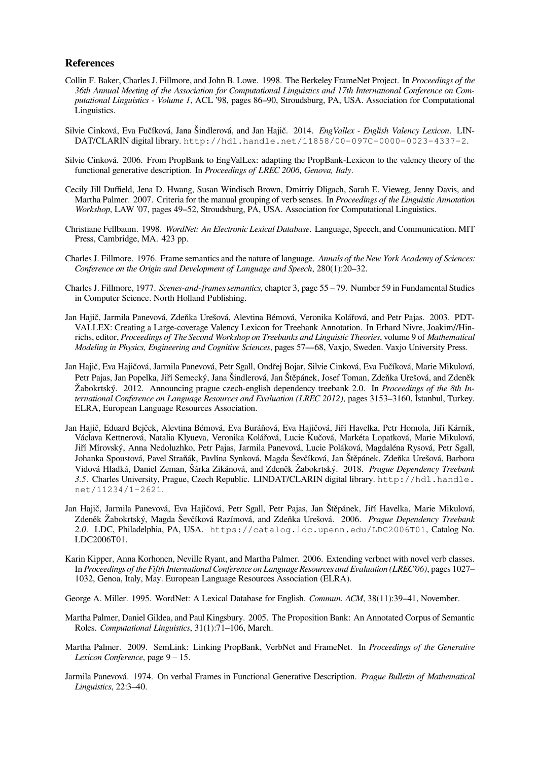#### **References**

- Collin F. Baker, Charles J. Fillmore, and John B. Lowe. 1998. The Berkeley FrameNet Project. In *Proceedings of the 36th Annual Meeting of the Association for Computational Linguistics and 17th International Conference on Computational Linguistics - Volume 1*, ACL '98, pages 86–90, Stroudsburg, PA, USA. Association for Computational Linguistics.
- Silvie Cinková, Eva Fučíková, Jana Šindlerová, and Jan Hajič. 2014. *EngVallex English Valency Lexicon*. LIN-DAT/CLARIN digital library. http://hdl.handle.net/11858/00-097C-0000-0023-4337-2.
- Silvie Cinková. 2006. From PropBank to EngValLex: adapting the PropBank-Lexicon to the valency theory of the functional generative description. In *Proceedings of LREC 2006, Genova, Italy*.
- Cecily Jill Duffield, Jena D. Hwang, Susan Windisch Brown, Dmitriy Dligach, Sarah E. Vieweg, Jenny Davis, and Martha Palmer. 2007. Criteria for the manual grouping of verb senses. In *Proceedings of the Linguistic Annotation Workshop*, LAW '07, pages 49–52, Stroudsburg, PA, USA. Association for Computational Linguistics.
- Christiane Fellbaum. 1998. *WordNet: An Electronic Lexical Database*. Language, Speech, and Communication. MIT Press, Cambridge, MA. 423 pp.
- Charles J. Fillmore. 1976. Frame semantics and the nature of language. *Annals of the New York Academy of Sciences: Conference on the Origin and Development of Language and Speech*, 280(1):20–32.
- Charles J. Fillmore, 1977. *Scenes-and-frames semantics*, chapter 3, page 55 79. Number 59 in Fundamental Studies in Computer Science. North Holland Publishing.
- Jan Hajič, Jarmila Panevová, Zdeňka Urešová, Alevtina Bémová, Veronika Kolářová, and Petr Pajas. 2003. PDT-VALLEX: Creating a Large-coverage Valency Lexicon for Treebank Annotation. In Erhard Nivre, Joakim//Hinrichs, editor, *Proceedings of The Second Workshop on Treebanks and Linguistic Theories*, volume 9 of *Mathematical Modeling in Physics, Engineering and Cognitive Sciences*, pages 57—68, Vaxjo, Sweden. Vaxjo University Press.
- Jan Hajič, Eva Hajičová, Jarmila Panevová, Petr Sgall, Ondřej Bojar, Silvie Cinková, Eva Fučíková, Marie Mikulová, Petr Pajas, Jan Popelka, Jiří Semecký, Jana Šindlerová, Jan Štěpánek, Josef Toman, Zdeňka Urešová, and Zdeněk Žabokrtský. 2012. Announcing prague czech-english dependency treebank 2.0. In *Proceedings of the 8th International Conference on Language Resources and Evaluation (LREC 2012)*, pages 3153–3160, İstanbul, Turkey. ELRA, European Language Resources Association.
- Jan Hajič, Eduard Bejček, Alevtina Bémová, Eva Buráňová, Eva Hajičová, Jiří Havelka, Petr Homola, Jiří Kárník, Václava Kettnerová, Natalia Klyueva, Veronika Kolářová, Lucie Kučová, Markéta Lopatková, Marie Mikulová, Jiří Mírovský, Anna Nedoluzhko, Petr Pajas, Jarmila Panevová, Lucie Poláková, Magdaléna Rysová, Petr Sgall, Johanka Spoustová, Pavel Straňák, Pavlína Synková, Magda Ševčíková, Jan Štěpánek, Zdeňka Urešová, Barbora Vidová Hladká, Daniel Zeman, Šárka Zikánová, and Zdeněk Žabokrtský. 2018. *Prague Dependency Treebank 3.5*. Charles University, Prague, Czech Republic. LINDAT/CLARIN digital library. http://hdl.handle. net/11234/1-2621.
- Jan Hajič, Jarmila Panevová, Eva Hajičová, Petr Sgall, Petr Pajas, Jan Štěpánek, Jiří Havelka, Marie Mikulová, Zdeněk Žabokrtský, Magda Ševčíková Razímová, and Zdeňka Urešová. 2006. *Prague Dependency Treebank 2.0*. LDC, Philadelphia, PA, USA. https://catalog.ldc.upenn.edu/LDC2006T01, Catalog No. LDC2006T01.
- Karin Kipper, Anna Korhonen, Neville Ryant, and Martha Palmer. 2006. Extending verbnet with novel verb classes. In *Proceedings of the Fifth International Conference on Language Resources and Evaluation (LREC'06)*, pages 1027– 1032, Genoa, Italy, May. European Language Resources Association (ELRA).
- George A. Miller. 1995. WordNet: A Lexical Database for English. *Commun. ACM*, 38(11):39–41, November.
- Martha Palmer, Daniel Gildea, and Paul Kingsbury. 2005. The Proposition Bank: An Annotated Corpus of Semantic Roles. *Computational Linguistics*, 31(1):71–106, March.
- Martha Palmer. 2009. SemLink: Linking PropBank, VerbNet and FrameNet. In *Proceedings of the Generative Lexicon Conference*, page 9 – 15.
- Jarmila Panevová. 1974. On verbal Frames in Functional Generative Description. *Prague Bulletin of Mathematical Linguistics*, 22:3–40.